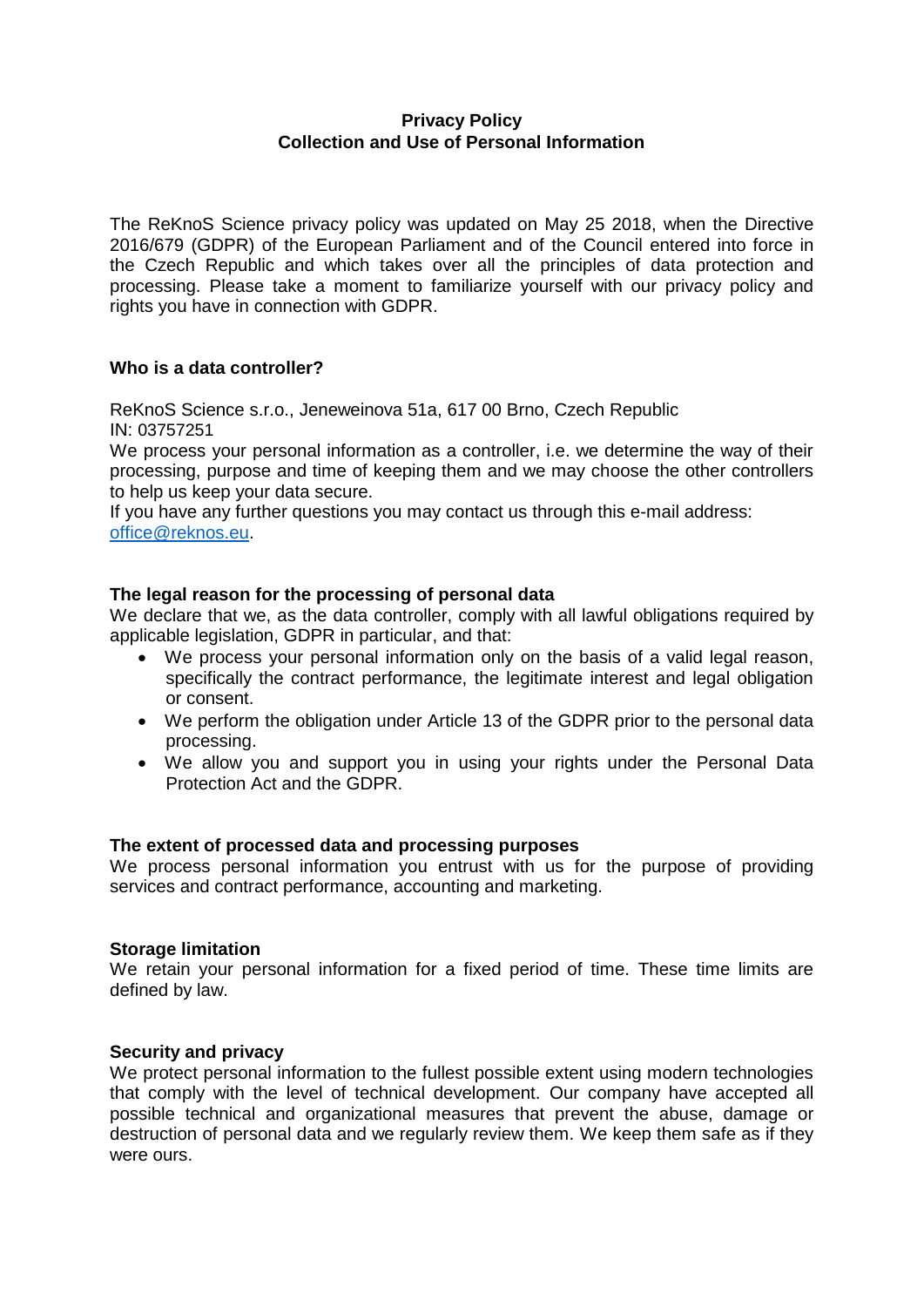# **Privacy Policy Collection and Use of Personal Information**

The ReKnoS Science privacy policy was updated on May 25 2018, when the Directive 2016/679 (GDPR) of the European Parliament and of the Council entered into force in the Czech Republic and which takes over all the principles of data protection and processing. Please take a moment to familiarize yourself with our privacy policy and rights you have in connection with GDPR.

# **Who is a data controller?**

ReKnoS Science s.r.o., Jeneweinova 51a, 617 00 Brno, Czech Republic IN: 03757251

We process your personal information as a controller, i.e. we determine the way of their processing, purpose and time of keeping them and we may choose the other controllers to help us keep your data secure.

If you have any further questions you may contact us through this e-mail address: [office@reknos.eu.](mailto:office@reknos.eu)

## **The legal reason for the processing of personal data**

We declare that we, as the data controller, comply with all lawful obligations required by applicable legislation, GDPR in particular, and that:

- We process your personal information only on the basis of a valid legal reason, specifically the contract performance, the legitimate interest and legal obligation or consent.
- We perform the obligation under Article 13 of the GDPR prior to the personal data processing.
- We allow you and support you in using your rights under the Personal Data Protection Act and the GDPR.

## **The extent of processed data and processing purposes**

We process personal information you entrust with us for the purpose of providing services and contract performance, accounting and marketing.

## **Storage limitation**

We retain your personal information for a fixed period of time. These time limits are defined by law.

## **Security and privacy**

We protect personal information to the fullest possible extent using modern technologies that comply with the level of technical development. Our company have accepted all possible technical and organizational measures that prevent the abuse, damage or destruction of personal data and we regularly review them. We keep them safe as if they were ours.